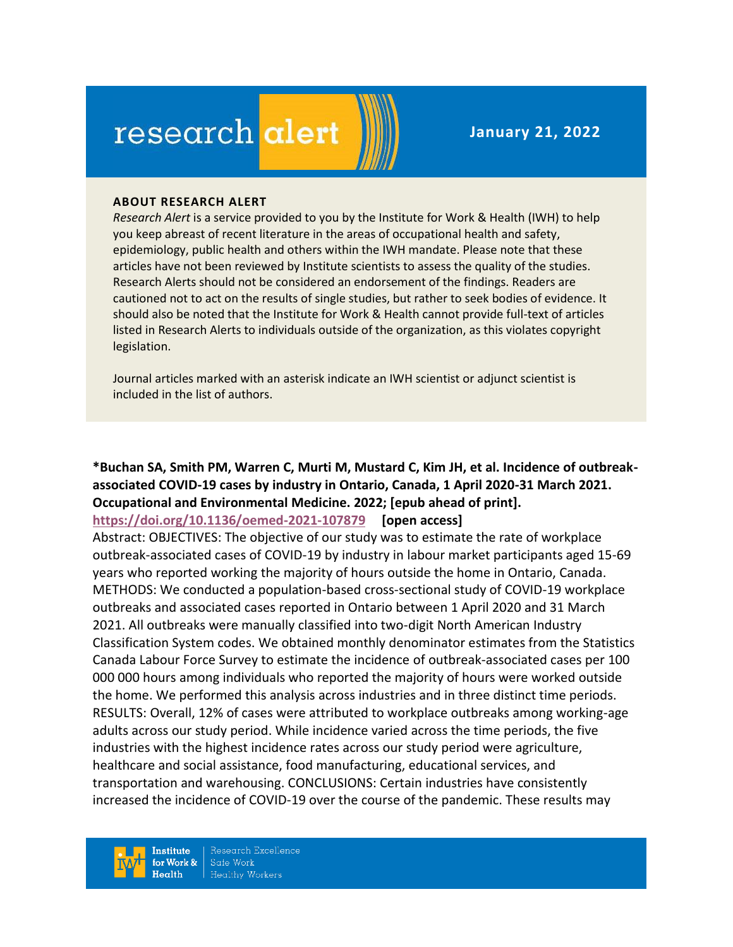# research alert

**January 21, 2022**

#### **ABOUT RESEARCH ALERT**

*Research Alert* is a service provided to you by the Institute for Work & Health (IWH) to help you keep abreast of recent literature in the areas of occupational health and safety, epidemiology, public health and others within the IWH mandate. Please note that these articles have not been reviewed by Institute scientists to assess the quality of the studies. Research Alerts should not be considered an endorsement of the findings. Readers are cautioned not to act on the results of single studies, but rather to seek bodies of evidence. It should also be noted that the Institute for Work & Health cannot provide full-text of articles listed in Research Alerts to individuals outside of the organization, as this violates copyright legislation.

Journal articles marked with an asterisk indicate an IWH scientist or adjunct scientist is included in the list of authors.

#### **\*Buchan SA, Smith PM, Warren C, Murti M, Mustard C, Kim JH, et al. Incidence of outbreakassociated COVID-19 cases by industry in Ontario, Canada, 1 April 2020-31 March 2021. Occupational and Environmental Medicine. 2022; [epub ahead of print]. <https://doi.org/10.1136/oemed-2021-107879> [open access]**

Abstract: OBJECTIVES: The objective of our study was to estimate the rate of workplace outbreak-associated cases of COVID-19 by industry in labour market participants aged 15-69 years who reported working the majority of hours outside the home in Ontario, Canada. METHODS: We conducted a population-based cross-sectional study of COVID-19 workplace outbreaks and associated cases reported in Ontario between 1 April 2020 and 31 March 2021. All outbreaks were manually classified into two-digit North American Industry Classification System codes. We obtained monthly denominator estimates from the Statistics Canada Labour Force Survey to estimate the incidence of outbreak-associated cases per 100 000 000 hours among individuals who reported the majority of hours were worked outside the home. We performed this analysis across industries and in three distinct time periods. RESULTS: Overall, 12% of cases were attributed to workplace outbreaks among working-age adults across our study period. While incidence varied across the time periods, the five industries with the highest incidence rates across our study period were agriculture, healthcare and social assistance, food manufacturing, educational services, and transportation and warehousing. CONCLUSIONS: Certain industries have consistently increased the incidence of COVID-19 over the course of the pandemic. These results may

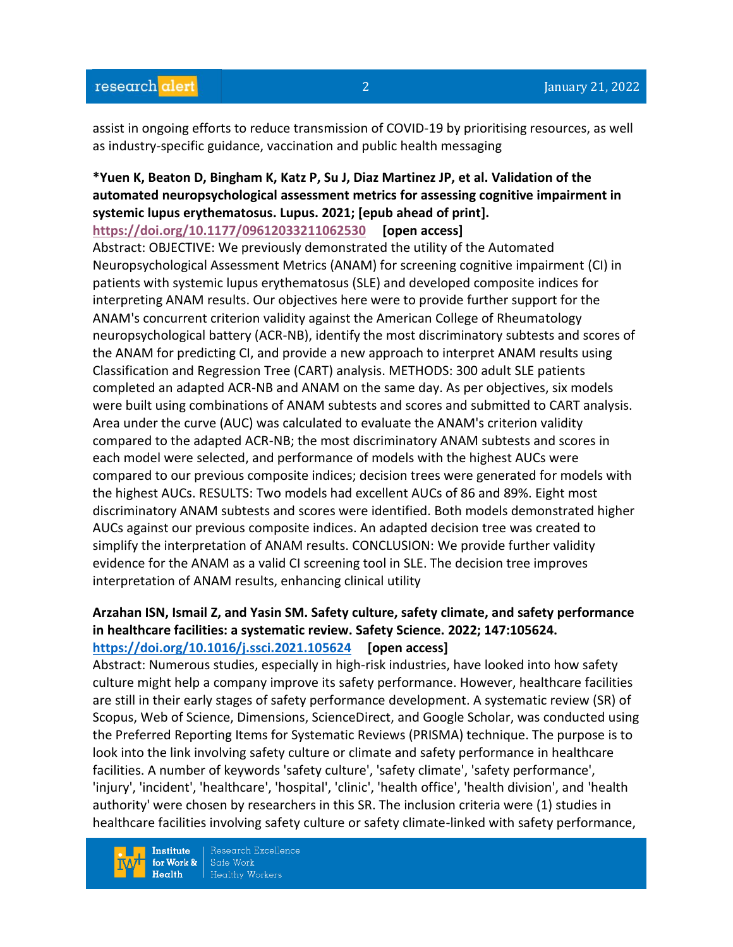assist in ongoing efforts to reduce transmission of COVID-19 by prioritising resources, as well as industry-specific guidance, vaccination and public health messaging

# **\*Yuen K, Beaton D, Bingham K, Katz P, Su J, Diaz Martinez JP, et al. Validation of the automated neuropsychological assessment metrics for assessing cognitive impairment in systemic lupus erythematosus. Lupus. 2021; [epub ahead of print].**

**<https://doi.org/10.1177/09612033211062530> [open access]**

Abstract: OBJECTIVE: We previously demonstrated the utility of the Automated Neuropsychological Assessment Metrics (ANAM) for screening cognitive impairment (CI) in patients with systemic lupus erythematosus (SLE) and developed composite indices for interpreting ANAM results. Our objectives here were to provide further support for the ANAM's concurrent criterion validity against the American College of Rheumatology neuropsychological battery (ACR-NB), identify the most discriminatory subtests and scores of the ANAM for predicting CI, and provide a new approach to interpret ANAM results using Classification and Regression Tree (CART) analysis. METHODS: 300 adult SLE patients completed an adapted ACR-NB and ANAM on the same day. As per objectives, six models were built using combinations of ANAM subtests and scores and submitted to CART analysis. Area under the curve (AUC) was calculated to evaluate the ANAM's criterion validity compared to the adapted ACR-NB; the most discriminatory ANAM subtests and scores in each model were selected, and performance of models with the highest AUCs were compared to our previous composite indices; decision trees were generated for models with the highest AUCs. RESULTS: Two models had excellent AUCs of 86 and 89%. Eight most discriminatory ANAM subtests and scores were identified. Both models demonstrated higher AUCs against our previous composite indices. An adapted decision tree was created to simplify the interpretation of ANAM results. CONCLUSION: We provide further validity evidence for the ANAM as a valid CI screening tool in SLE. The decision tree improves interpretation of ANAM results, enhancing clinical utility

#### **Arzahan ISN, Ismail Z, and Yasin SM. Safety culture, safety climate, and safety performance in healthcare facilities: a systematic review. Safety Science. 2022; 147:105624. <https://doi.org/10.1016/j.ssci.2021.105624> [open access]**

Abstract: Numerous studies, especially in high-risk industries, have looked into how safety culture might help a company improve its safety performance. However, healthcare facilities are still in their early stages of safety performance development. A systematic review (SR) of Scopus, Web of Science, Dimensions, ScienceDirect, and Google Scholar, was conducted using the Preferred Reporting Items for Systematic Reviews (PRISMA) technique. The purpose is to look into the link involving safety culture or climate and safety performance in healthcare facilities. A number of keywords 'safety culture', 'safety climate', 'safety performance', 'injury', 'incident', 'healthcare', 'hospital', 'clinic', 'health office', 'health division', and 'health authority' were chosen by researchers in this SR. The inclusion criteria were (1) studies in healthcare facilities involving safety culture or safety climate-linked with safety performance,

**Institute** for Work &  $Heath$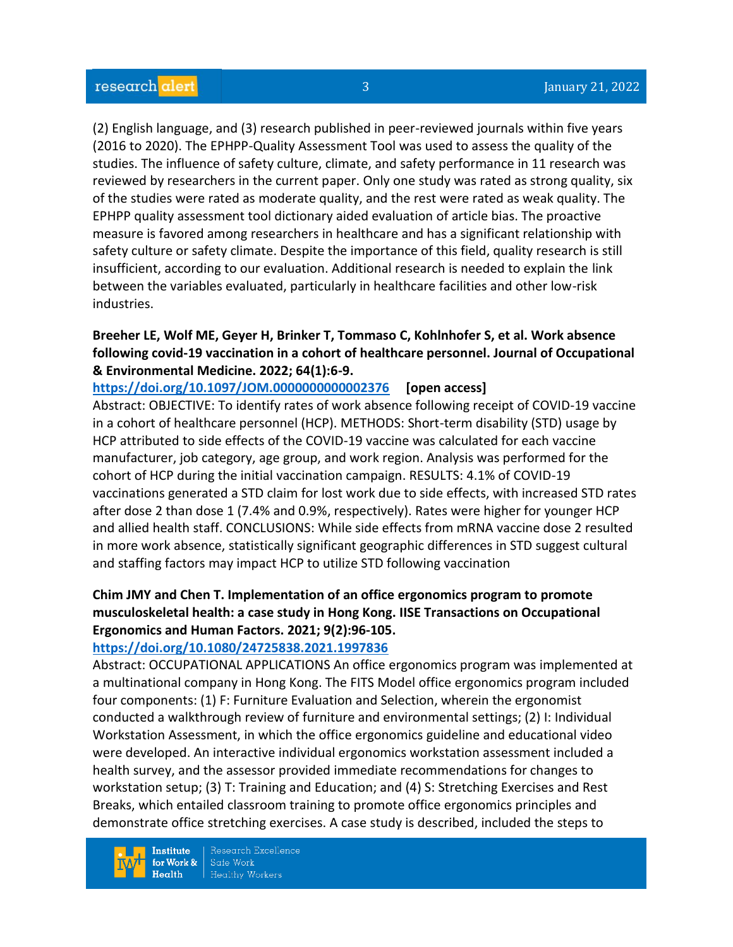(2) English language, and (3) research published in peer-reviewed journals within five years (2016 to 2020). The EPHPP-Quality Assessment Tool was used to assess the quality of the studies. The influence of safety culture, climate, and safety performance in 11 research was reviewed by researchers in the current paper. Only one study was rated as strong quality, six of the studies were rated as moderate quality, and the rest were rated as weak quality. The EPHPP quality assessment tool dictionary aided evaluation of article bias. The proactive measure is favored among researchers in healthcare and has a significant relationship with safety culture or safety climate. Despite the importance of this field, quality research is still insufficient, according to our evaluation. Additional research is needed to explain the link between the variables evaluated, particularly in healthcare facilities and other low-risk industries.

## **Breeher LE, Wolf ME, Geyer H, Brinker T, Tommaso C, Kohlnhofer S, et al. Work absence following covid-19 vaccination in a cohort of healthcare personnel. Journal of Occupational & Environmental Medicine. 2022; 64(1):6-9.**

#### **<https://doi.org/10.1097/JOM.0000000000002376> [open access]**

Abstract: OBJECTIVE: To identify rates of work absence following receipt of COVID-19 vaccine in a cohort of healthcare personnel (HCP). METHODS: Short-term disability (STD) usage by HCP attributed to side effects of the COVID-19 vaccine was calculated for each vaccine manufacturer, job category, age group, and work region. Analysis was performed for the cohort of HCP during the initial vaccination campaign. RESULTS: 4.1% of COVID-19 vaccinations generated a STD claim for lost work due to side effects, with increased STD rates after dose 2 than dose 1 (7.4% and 0.9%, respectively). Rates were higher for younger HCP and allied health staff. CONCLUSIONS: While side effects from mRNA vaccine dose 2 resulted in more work absence, statistically significant geographic differences in STD suggest cultural and staffing factors may impact HCP to utilize STD following vaccination

# **Chim JMY and Chen T. Implementation of an office ergonomics program to promote musculoskeletal health: a case study in Hong Kong. IISE Transactions on Occupational Ergonomics and Human Factors. 2021; 9(2):96-105.**

#### **<https://doi.org/10.1080/24725838.2021.1997836>**

Abstract: OCCUPATIONAL APPLICATIONS An office ergonomics program was implemented at a multinational company in Hong Kong. The FITS Model office ergonomics program included four components: (1) F: Furniture Evaluation and Selection, wherein the ergonomist conducted a walkthrough review of furniture and environmental settings; (2) I: Individual Workstation Assessment, in which the office ergonomics guideline and educational video were developed. An interactive individual ergonomics workstation assessment included a health survey, and the assessor provided immediate recommendations for changes to workstation setup; (3) T: Training and Education; and (4) S: Stretching Exercises and Rest Breaks, which entailed classroom training to promote office ergonomics principles and demonstrate office stretching exercises. A case study is described, included the steps to

**Institute** for Work &  $Health$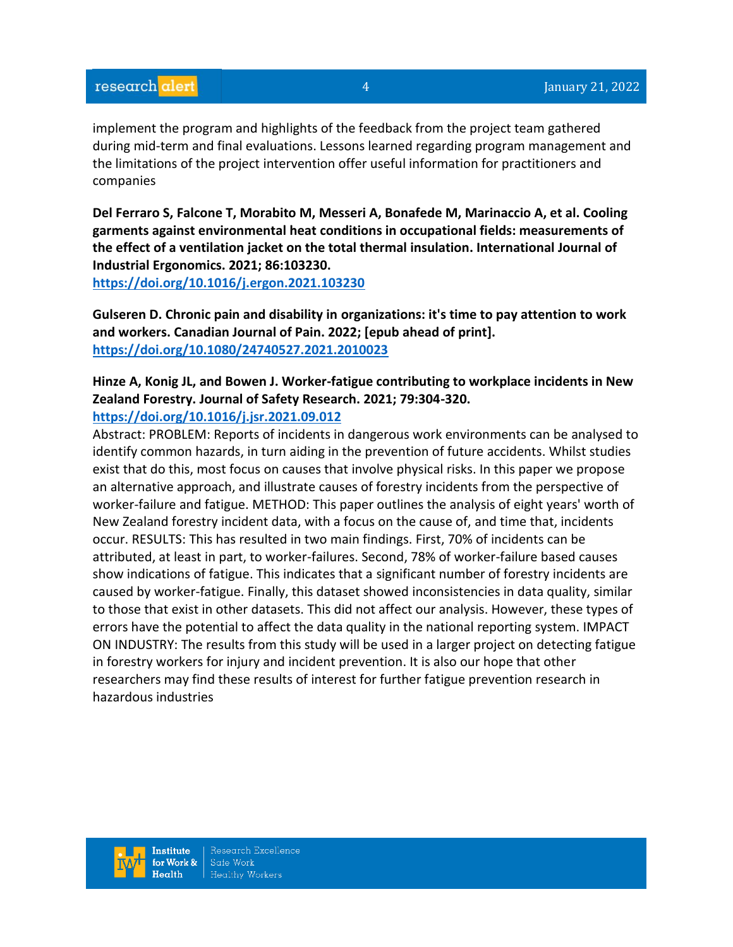implement the program and highlights of the feedback from the project team gathered during mid-term and final evaluations. Lessons learned regarding program management and the limitations of the project intervention offer useful information for practitioners and companies

**Del Ferraro S, Falcone T, Morabito M, Messeri A, Bonafede M, Marinaccio A, et al. Cooling garments against environmental heat conditions in occupational fields: measurements of the effect of a ventilation jacket on the total thermal insulation. International Journal of Industrial Ergonomics. 2021; 86:103230.**

**<https://doi.org/10.1016/j.ergon.2021.103230>** 

**Gulseren D. Chronic pain and disability in organizations: it's time to pay attention to work and workers. Canadian Journal of Pain. 2022; [epub ahead of print]. <https://doi.org/10.1080/24740527.2021.2010023>** 

# **Hinze A, Konig JL, and Bowen J. Worker-fatigue contributing to workplace incidents in New Zealand Forestry. Journal of Safety Research. 2021; 79:304-320.**

#### **<https://doi.org/10.1016/j.jsr.2021.09.012>**

Abstract: PROBLEM: Reports of incidents in dangerous work environments can be analysed to identify common hazards, in turn aiding in the prevention of future accidents. Whilst studies exist that do this, most focus on causes that involve physical risks. In this paper we propose an alternative approach, and illustrate causes of forestry incidents from the perspective of worker-failure and fatigue. METHOD: This paper outlines the analysis of eight years' worth of New Zealand forestry incident data, with a focus on the cause of, and time that, incidents occur. RESULTS: This has resulted in two main findings. First, 70% of incidents can be attributed, at least in part, to worker-failures. Second, 78% of worker-failure based causes show indications of fatigue. This indicates that a significant number of forestry incidents are caused by worker-fatigue. Finally, this dataset showed inconsistencies in data quality, similar to those that exist in other datasets. This did not affect our analysis. However, these types of errors have the potential to affect the data quality in the national reporting system. IMPACT ON INDUSTRY: The results from this study will be used in a larger project on detecting fatigue in forestry workers for injury and incident prevention. It is also our hope that other researchers may find these results of interest for further fatigue prevention research in hazardous industries

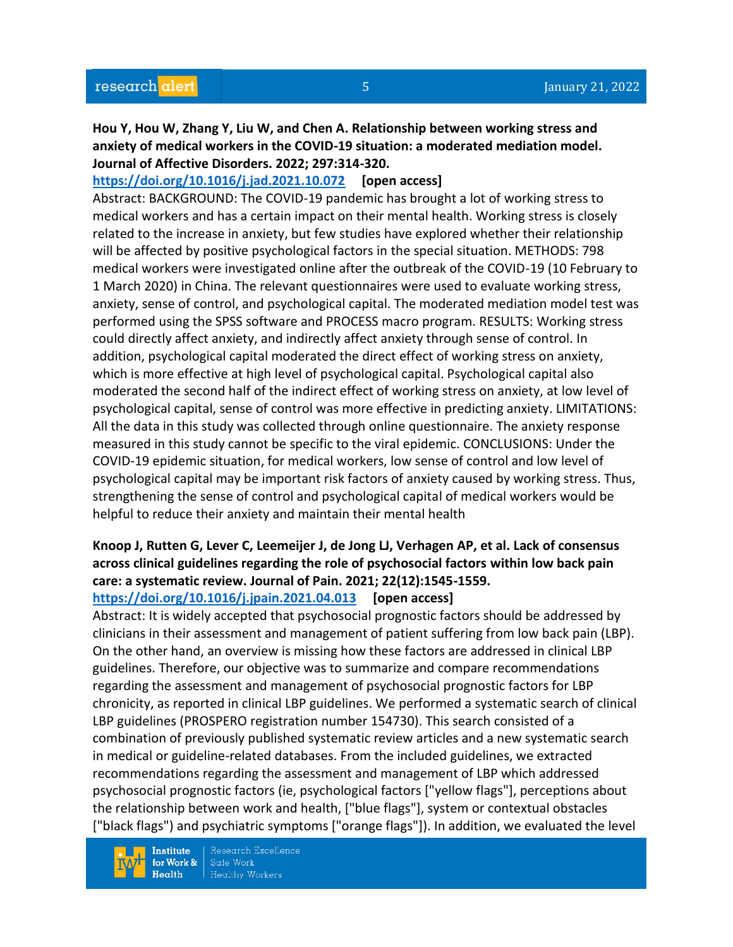**Hou Y, Hou W, Zhang Y, Liu W, and Chen A. Relationship between working stress and anxiety of medical workers in the COVID-19 situation: a moderated mediation model. Journal of Affective Disorders. 2022; 297:314-320.** 

**<https://doi.org/10.1016/j.jad.2021.10.072> [open access]**

Abstract: BACKGROUND: The COVID-19 pandemic has brought a lot of working stress to medical workers and has a certain impact on their mental health. Working stress is closely related to the increase in anxiety, but few studies have explored whether their relationship will be affected by positive psychological factors in the special situation. METHODS: 798 medical workers were investigated online after the outbreak of the COVID-19 (10 February to 1 March 2020) in China. The relevant questionnaires were used to evaluate working stress, anxiety, sense of control, and psychological capital. The moderated mediation model test was performed using the SPSS software and PROCESS macro program. RESULTS: Working stress could directly affect anxiety, and indirectly affect anxiety through sense of control. In addition, psychological capital moderated the direct effect of working stress on anxiety, which is more effective at high level of psychological capital. Psychological capital also moderated the second half of the indirect effect of working stress on anxiety, at low level of psychological capital, sense of control was more effective in predicting anxiety. LIMITATIONS: All the data in this study was collected through online questionnaire. The anxiety response measured in this study cannot be specific to the viral epidemic. CONCLUSIONS: Under the COVID-19 epidemic situation, for medical workers, low sense of control and low level of psychological capital may be important risk factors of anxiety caused by working stress. Thus, strengthening the sense of control and psychological capital of medical workers would be helpful to reduce their anxiety and maintain their mental health

## **Knoop J, Rutten G, Lever C, Leemeijer J, de Jong LJ, Verhagen AP, et al. Lack of consensus across clinical guidelines regarding the role of psychosocial factors within low back pain care: a systematic review. Journal of Pain. 2021; 22(12):1545-1559. <https://doi.org/10.1016/j.jpain.2021.04.013> [open access]**

Abstract: It is widely accepted that psychosocial prognostic factors should be addressed by clinicians in their assessment and management of patient suffering from low back pain (LBP). On the other hand, an overview is missing how these factors are addressed in clinical LBP guidelines. Therefore, our objective was to summarize and compare recommendations regarding the assessment and management of psychosocial prognostic factors for LBP chronicity, as reported in clinical LBP guidelines. We performed a systematic search of clinical LBP guidelines (PROSPERO registration number 154730). This search consisted of a combination of previously published systematic review articles and a new systematic search in medical or guideline-related databases. From the included guidelines, we extracted recommendations regarding the assessment and management of LBP which addressed psychosocial prognostic factors (ie, psychological factors ["yellow flags"], perceptions about the relationship between work and health, ["blue flags"], system or contextual obstacles ["black flags") and psychiatric symptoms ["orange flags"]). In addition, we evaluated the level

**Institute** for Work &  $Health$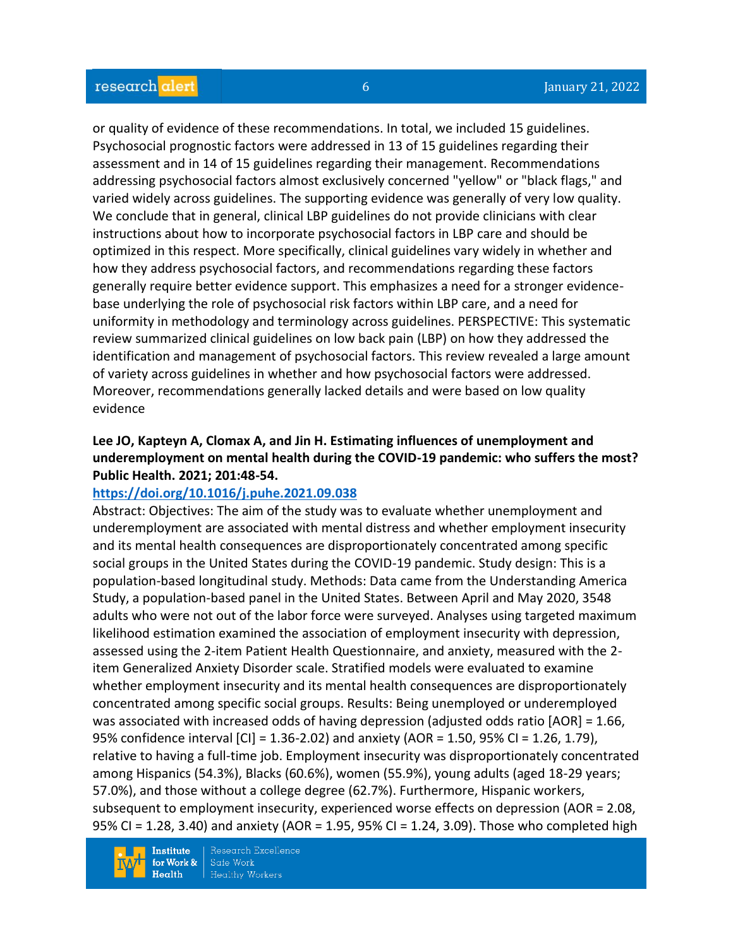or quality of evidence of these recommendations. In total, we included 15 guidelines. Psychosocial prognostic factors were addressed in 13 of 15 guidelines regarding their assessment and in 14 of 15 guidelines regarding their management. Recommendations addressing psychosocial factors almost exclusively concerned "yellow" or "black flags," and varied widely across guidelines. The supporting evidence was generally of very low quality. We conclude that in general, clinical LBP guidelines do not provide clinicians with clear instructions about how to incorporate psychosocial factors in LBP care and should be optimized in this respect. More specifically, clinical guidelines vary widely in whether and how they address psychosocial factors, and recommendations regarding these factors generally require better evidence support. This emphasizes a need for a stronger evidencebase underlying the role of psychosocial risk factors within LBP care, and a need for uniformity in methodology and terminology across guidelines. PERSPECTIVE: This systematic review summarized clinical guidelines on low back pain (LBP) on how they addressed the identification and management of psychosocial factors. This review revealed a large amount of variety across guidelines in whether and how psychosocial factors were addressed. Moreover, recommendations generally lacked details and were based on low quality evidence

# **Lee JO, Kapteyn A, Clomax A, and Jin H. Estimating influences of unemployment and underemployment on mental health during the COVID-19 pandemic: who suffers the most? Public Health. 2021; 201:48-54.**

#### **<https://doi.org/10.1016/j.puhe.2021.09.038>**

Abstract: Objectives: The aim of the study was to evaluate whether unemployment and underemployment are associated with mental distress and whether employment insecurity and its mental health consequences are disproportionately concentrated among specific social groups in the United States during the COVID-19 pandemic. Study design: This is a population-based longitudinal study. Methods: Data came from the Understanding America Study, a population-based panel in the United States. Between April and May 2020, 3548 adults who were not out of the labor force were surveyed. Analyses using targeted maximum likelihood estimation examined the association of employment insecurity with depression, assessed using the 2-item Patient Health Questionnaire, and anxiety, measured with the 2 item Generalized Anxiety Disorder scale. Stratified models were evaluated to examine whether employment insecurity and its mental health consequences are disproportionately concentrated among specific social groups. Results: Being unemployed or underemployed was associated with increased odds of having depression (adjusted odds ratio [AOR] = 1.66, 95% confidence interval [CI] = 1.36-2.02) and anxiety (AOR = 1.50, 95% CI = 1.26, 1.79), relative to having a full-time job. Employment insecurity was disproportionately concentrated among Hispanics (54.3%), Blacks (60.6%), women (55.9%), young adults (aged 18-29 years; 57.0%), and those without a college degree (62.7%). Furthermore, Hispanic workers, subsequent to employment insecurity, experienced worse effects on depression (AOR = 2.08, 95% CI = 1.28, 3.40) and anxiety (AOR = 1.95, 95% CI = 1.24, 3.09). Those who completed high

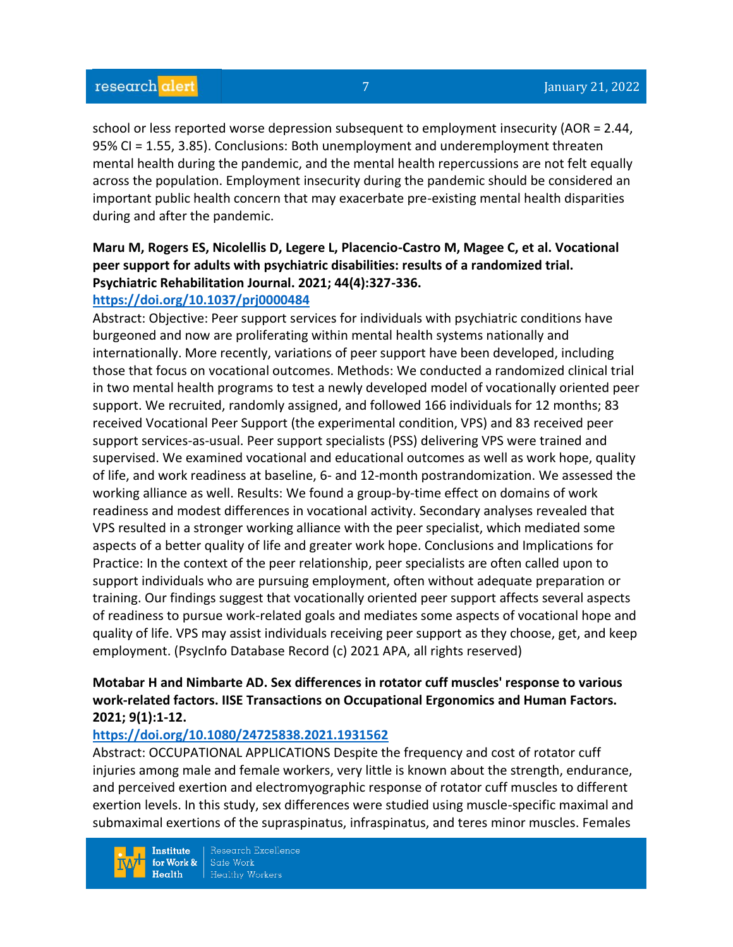school or less reported worse depression subsequent to employment insecurity (AOR = 2.44, 95% CI = 1.55, 3.85). Conclusions: Both unemployment and underemployment threaten mental health during the pandemic, and the mental health repercussions are not felt equally across the population. Employment insecurity during the pandemic should be considered an important public health concern that may exacerbate pre-existing mental health disparities during and after the pandemic.

## **Maru M, Rogers ES, Nicolellis D, Legere L, Placencio-Castro M, Magee C, et al. Vocational peer support for adults with psychiatric disabilities: results of a randomized trial. Psychiatric Rehabilitation Journal. 2021; 44(4):327-336. <https://doi.org/10.1037/prj0000484>**

Abstract: Objective: Peer support services for individuals with psychiatric conditions have burgeoned and now are proliferating within mental health systems nationally and internationally. More recently, variations of peer support have been developed, including those that focus on vocational outcomes. Methods: We conducted a randomized clinical trial in two mental health programs to test a newly developed model of vocationally oriented peer support. We recruited, randomly assigned, and followed 166 individuals for 12 months; 83 received Vocational Peer Support (the experimental condition, VPS) and 83 received peer support services-as-usual. Peer support specialists (PSS) delivering VPS were trained and supervised. We examined vocational and educational outcomes as well as work hope, quality of life, and work readiness at baseline, 6- and 12-month postrandomization. We assessed the working alliance as well. Results: We found a group-by-time effect on domains of work readiness and modest differences in vocational activity. Secondary analyses revealed that VPS resulted in a stronger working alliance with the peer specialist, which mediated some aspects of a better quality of life and greater work hope. Conclusions and Implications for Practice: In the context of the peer relationship, peer specialists are often called upon to support individuals who are pursuing employment, often without adequate preparation or training. Our findings suggest that vocationally oriented peer support affects several aspects of readiness to pursue work-related goals and mediates some aspects of vocational hope and quality of life. VPS may assist individuals receiving peer support as they choose, get, and keep employment. (PsycInfo Database Record (c) 2021 APA, all rights reserved)

# **Motabar H and Nimbarte AD. Sex differences in rotator cuff muscles' response to various work-related factors. IISE Transactions on Occupational Ergonomics and Human Factors. 2021; 9(1):1-12.**

## **<https://doi.org/10.1080/24725838.2021.1931562>**

Abstract: OCCUPATIONAL APPLICATIONS Despite the frequency and cost of rotator cuff injuries among male and female workers, very little is known about the strength, endurance, and perceived exertion and electromyographic response of rotator cuff muscles to different exertion levels. In this study, sex differences were studied using muscle-specific maximal and submaximal exertions of the supraspinatus, infraspinatus, and teres minor muscles. Females

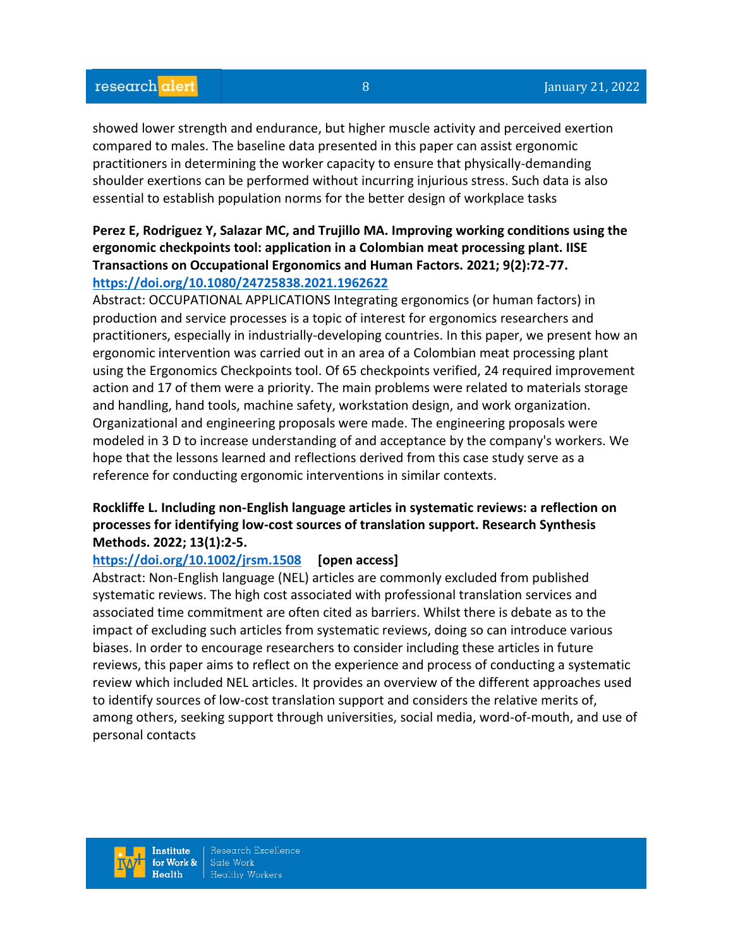showed lower strength and endurance, but higher muscle activity and perceived exertion compared to males. The baseline data presented in this paper can assist ergonomic practitioners in determining the worker capacity to ensure that physically-demanding shoulder exertions can be performed without incurring injurious stress. Such data is also essential to establish population norms for the better design of workplace tasks

#### **Perez E, Rodriguez Y, Salazar MC, and Trujillo MA. Improving working conditions using the ergonomic checkpoints tool: application in a Colombian meat processing plant. IISE Transactions on Occupational Ergonomics and Human Factors. 2021; 9(2):72-77. <https://doi.org/10.1080/24725838.2021.1962622>**

Abstract: OCCUPATIONAL APPLICATIONS Integrating ergonomics (or human factors) in production and service processes is a topic of interest for ergonomics researchers and practitioners, especially in industrially-developing countries. In this paper, we present how an ergonomic intervention was carried out in an area of a Colombian meat processing plant using the Ergonomics Checkpoints tool. Of 65 checkpoints verified, 24 required improvement action and 17 of them were a priority. The main problems were related to materials storage and handling, hand tools, machine safety, workstation design, and work organization. Organizational and engineering proposals were made. The engineering proposals were modeled in 3 D to increase understanding of and acceptance by the company's workers. We hope that the lessons learned and reflections derived from this case study serve as a reference for conducting ergonomic interventions in similar contexts.

# **Rockliffe L. Including non-English language articles in systematic reviews: a reflection on processes for identifying low-cost sources of translation support. Research Synthesis Methods. 2022; 13(1):2-5.**

#### **<https://doi.org/10.1002/jrsm.1508> [open access]**

Abstract: Non-English language (NEL) articles are commonly excluded from published systematic reviews. The high cost associated with professional translation services and associated time commitment are often cited as barriers. Whilst there is debate as to the impact of excluding such articles from systematic reviews, doing so can introduce various biases. In order to encourage researchers to consider including these articles in future reviews, this paper aims to reflect on the experience and process of conducting a systematic review which included NEL articles. It provides an overview of the different approaches used to identify sources of low-cost translation support and considers the relative merits of, among others, seeking support through universities, social media, word-of-mouth, and use of personal contacts

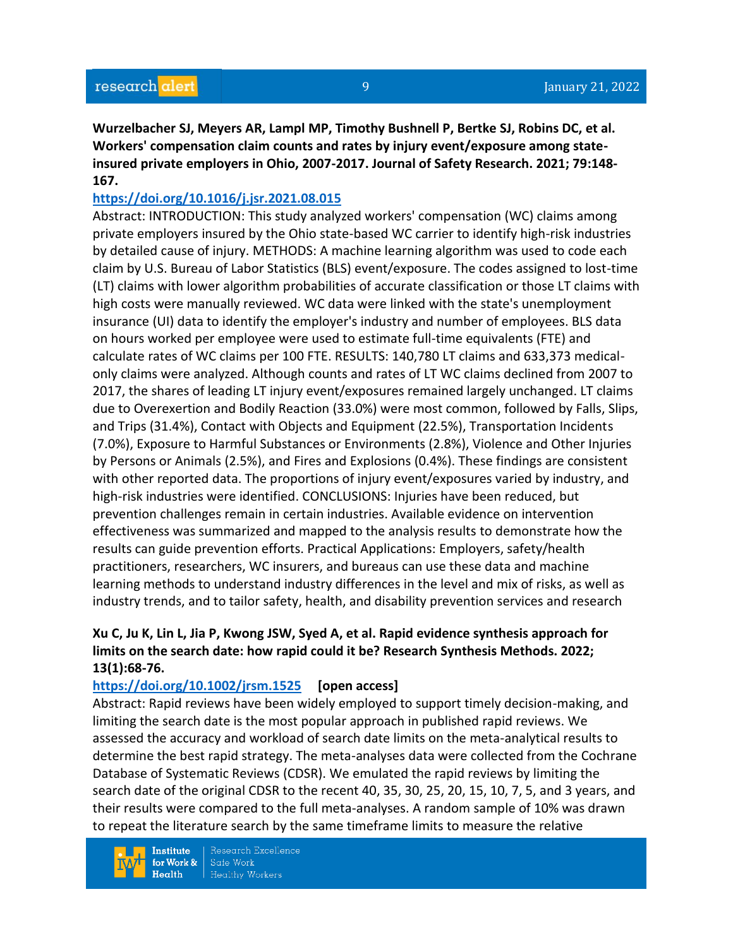**Wurzelbacher SJ, Meyers AR, Lampl MP, Timothy Bushnell P, Bertke SJ, Robins DC, et al. Workers' compensation claim counts and rates by injury event/exposure among stateinsured private employers in Ohio, 2007-2017. Journal of Safety Research. 2021; 79:148- 167.** 

#### **<https://doi.org/10.1016/j.jsr.2021.08.015>**

Abstract: INTRODUCTION: This study analyzed workers' compensation (WC) claims among private employers insured by the Ohio state-based WC carrier to identify high-risk industries by detailed cause of injury. METHODS: A machine learning algorithm was used to code each claim by U.S. Bureau of Labor Statistics (BLS) event/exposure. The codes assigned to lost-time (LT) claims with lower algorithm probabilities of accurate classification or those LT claims with high costs were manually reviewed. WC data were linked with the state's unemployment insurance (UI) data to identify the employer's industry and number of employees. BLS data on hours worked per employee were used to estimate full-time equivalents (FTE) and calculate rates of WC claims per 100 FTE. RESULTS: 140,780 LT claims and 633,373 medicalonly claims were analyzed. Although counts and rates of LT WC claims declined from 2007 to 2017, the shares of leading LT injury event/exposures remained largely unchanged. LT claims due to Overexertion and Bodily Reaction (33.0%) were most common, followed by Falls, Slips, and Trips (31.4%), Contact with Objects and Equipment (22.5%), Transportation Incidents (7.0%), Exposure to Harmful Substances or Environments (2.8%), Violence and Other Injuries by Persons or Animals (2.5%), and Fires and Explosions (0.4%). These findings are consistent with other reported data. The proportions of injury event/exposures varied by industry, and high-risk industries were identified. CONCLUSIONS: Injuries have been reduced, but prevention challenges remain in certain industries. Available evidence on intervention effectiveness was summarized and mapped to the analysis results to demonstrate how the results can guide prevention efforts. Practical Applications: Employers, safety/health practitioners, researchers, WC insurers, and bureaus can use these data and machine learning methods to understand industry differences in the level and mix of risks, as well as industry trends, and to tailor safety, health, and disability prevention services and research

# **Xu C, Ju K, Lin L, Jia P, Kwong JSW, Syed A, et al. Rapid evidence synthesis approach for limits on the search date: how rapid could it be? Research Synthesis Methods. 2022; 13(1):68-76.**

#### **<https://doi.org/10.1002/jrsm.1525> [open access]**

Abstract: Rapid reviews have been widely employed to support timely decision-making, and limiting the search date is the most popular approach in published rapid reviews. We assessed the accuracy and workload of search date limits on the meta-analytical results to determine the best rapid strategy. The meta-analyses data were collected from the Cochrane Database of Systematic Reviews (CDSR). We emulated the rapid reviews by limiting the search date of the original CDSR to the recent 40, 35, 30, 25, 20, 15, 10, 7, 5, and 3 years, and their results were compared to the full meta-analyses. A random sample of 10% was drawn to repeat the literature search by the same timeframe limits to measure the relative

**Institute** for Work &  $Health$